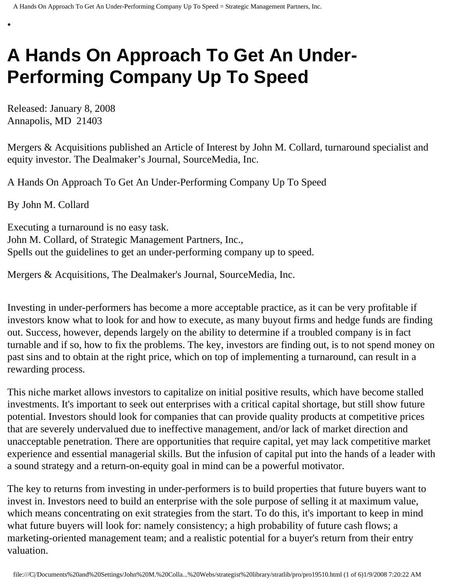# **A Hands On Approach To Get An Under-Performing Company Up To Speed**

Released: January 8, 2008 Annapolis, MD 21403

•

Mergers & Acquisitions published an Article of Interest by John M. Collard, turnaround specialist and equity investor. The Dealmaker's Journal, SourceMedia, Inc.

A Hands On Approach To Get An Under-Performing Company Up To Speed

By John M. Collard

Executing a turnaround is no easy task. John M. Collard, of Strategic Management Partners, Inc., Spells out the guidelines to get an under-performing company up to speed.

Mergers & Acquisitions, The Dealmaker's Journal, SourceMedia, Inc.

Investing in under-performers has become a more acceptable practice, as it can be very profitable if investors know what to look for and how to execute, as many buyout firms and hedge funds are finding out. Success, however, depends largely on the ability to determine if a troubled company is in fact turnable and if so, how to fix the problems. The key, investors are finding out, is to not spend money on past sins and to obtain at the right price, which on top of implementing a turnaround, can result in a rewarding process.

This niche market allows investors to capitalize on initial positive results, which have become stalled investments. It's important to seek out enterprises with a critical capital shortage, but still show future potential. Investors should look for companies that can provide quality products at competitive prices that are severely undervalued due to ineffective management, and/or lack of market direction and unacceptable penetration. There are opportunities that require capital, yet may lack competitive market experience and essential managerial skills. But the infusion of capital put into the hands of a leader with a sound strategy and a return-on-equity goal in mind can be a powerful motivator.

The key to returns from investing in under-performers is to build properties that future buyers want to invest in. Investors need to build an enterprise with the sole purpose of selling it at maximum value, which means concentrating on exit strategies from the start. To do this, it's important to keep in mind what future buyers will look for: namely consistency; a high probability of future cash flows; a marketing-oriented management team; and a realistic potential for a buyer's return from their entry valuation.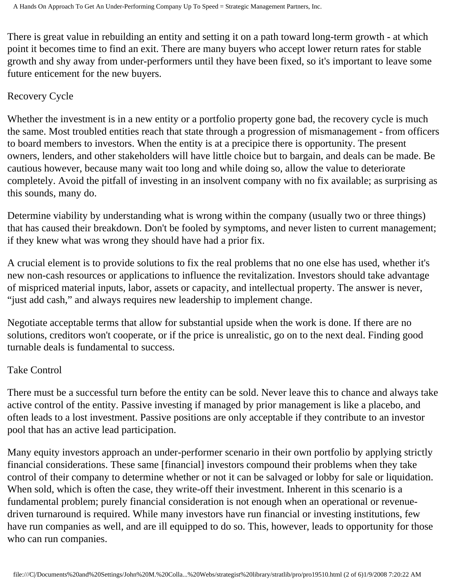There is great value in rebuilding an entity and setting it on a path toward long-term growth - at which point it becomes time to find an exit. There are many buyers who accept lower return rates for stable growth and shy away from under-performers until they have been fixed, so it's important to leave some future enticement for the new buyers.

### Recovery Cycle

Whether the investment is in a new entity or a portfolio property gone bad, the recovery cycle is much the same. Most troubled entities reach that state through a progression of mismanagement - from officers to board members to investors. When the entity is at a precipice there is opportunity. The present owners, lenders, and other stakeholders will have little choice but to bargain, and deals can be made. Be cautious however, because many wait too long and while doing so, allow the value to deteriorate completely. Avoid the pitfall of investing in an insolvent company with no fix available; as surprising as this sounds, many do.

Determine viability by understanding what is wrong within the company (usually two or three things) that has caused their breakdown. Don't be fooled by symptoms, and never listen to current management; if they knew what was wrong they should have had a prior fix.

A crucial element is to provide solutions to fix the real problems that no one else has used, whether it's new non-cash resources or applications to influence the revitalization. Investors should take advantage of mispriced material inputs, labor, assets or capacity, and intellectual property. The answer is never, "just add cash," and always requires new leadership to implement change.

Negotiate acceptable terms that allow for substantial upside when the work is done. If there are no solutions, creditors won't cooperate, or if the price is unrealistic, go on to the next deal. Finding good turnable deals is fundamental to success.

## Take Control

There must be a successful turn before the entity can be sold. Never leave this to chance and always take active control of the entity. Passive investing if managed by prior management is like a placebo, and often leads to a lost investment. Passive positions are only acceptable if they contribute to an investor pool that has an active lead participation.

Many equity investors approach an under-performer scenario in their own portfolio by applying strictly financial considerations. These same [financial] investors compound their problems when they take control of their company to determine whether or not it can be salvaged or lobby for sale or liquidation. When sold, which is often the case, they write-off their investment. Inherent in this scenario is a fundamental problem; purely financial consideration is not enough when an operational or revenuedriven turnaround is required. While many investors have run financial or investing institutions, few have run companies as well, and are ill equipped to do so. This, however, leads to opportunity for those who can run companies.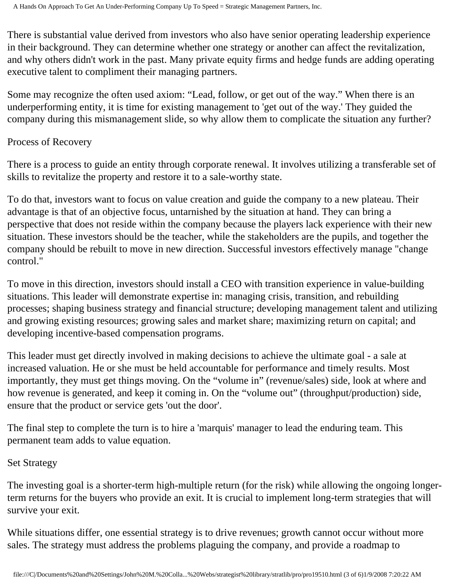There is substantial value derived from investors who also have senior operating leadership experience in their background. They can determine whether one strategy or another can affect the revitalization, and why others didn't work in the past. Many private equity firms and hedge funds are adding operating executive talent to compliment their managing partners.

Some may recognize the often used axiom: "Lead, follow, or get out of the way." When there is an underperforming entity, it is time for existing management to 'get out of the way.' They guided the company during this mismanagement slide, so why allow them to complicate the situation any further?

#### Process of Recovery

There is a process to guide an entity through corporate renewal. It involves utilizing a transferable set of skills to revitalize the property and restore it to a sale-worthy state.

To do that, investors want to focus on value creation and guide the company to a new plateau. Their advantage is that of an objective focus, untarnished by the situation at hand. They can bring a perspective that does not reside within the company because the players lack experience with their new situation. These investors should be the teacher, while the stakeholders are the pupils, and together the company should be rebuilt to move in new direction. Successful investors effectively manage "change control."

To move in this direction, investors should install a CEO with transition experience in value-building situations. This leader will demonstrate expertise in: managing crisis, transition, and rebuilding processes; shaping business strategy and financial structure; developing management talent and utilizing and growing existing resources; growing sales and market share; maximizing return on capital; and developing incentive-based compensation programs.

This leader must get directly involved in making decisions to achieve the ultimate goal - a sale at increased valuation. He or she must be held accountable for performance and timely results. Most importantly, they must get things moving. On the "volume in" (revenue/sales) side, look at where and how revenue is generated, and keep it coming in. On the "volume out" (throughput/production) side, ensure that the product or service gets 'out the door'.

The final step to complete the turn is to hire a 'marquis' manager to lead the enduring team. This permanent team adds to value equation.

#### Set Strategy

The investing goal is a shorter-term high-multiple return (for the risk) while allowing the ongoing longerterm returns for the buyers who provide an exit. It is crucial to implement long-term strategies that will survive your exit.

While situations differ, one essential strategy is to drive revenues; growth cannot occur without more sales. The strategy must address the problems plaguing the company, and provide a roadmap to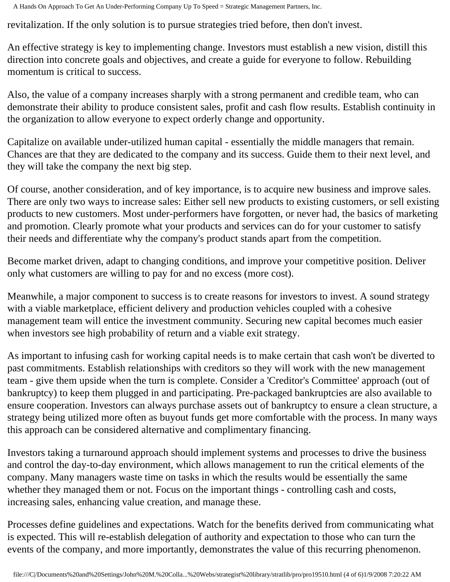A Hands On Approach To Get An Under-Performing Company Up To Speed = Strategic Management Partners, Inc.

revitalization. If the only solution is to pursue strategies tried before, then don't invest.

An effective strategy is key to implementing change. Investors must establish a new vision, distill this direction into concrete goals and objectives, and create a guide for everyone to follow. Rebuilding momentum is critical to success.

Also, the value of a company increases sharply with a strong permanent and credible team, who can demonstrate their ability to produce consistent sales, profit and cash flow results. Establish continuity in the organization to allow everyone to expect orderly change and opportunity.

Capitalize on available under-utilized human capital - essentially the middle managers that remain. Chances are that they are dedicated to the company and its success. Guide them to their next level, and they will take the company the next big step.

Of course, another consideration, and of key importance, is to acquire new business and improve sales. There are only two ways to increase sales: Either sell new products to existing customers, or sell existing products to new customers. Most under-performers have forgotten, or never had, the basics of marketing and promotion. Clearly promote what your products and services can do for your customer to satisfy their needs and differentiate why the company's product stands apart from the competition.

Become market driven, adapt to changing conditions, and improve your competitive position. Deliver only what customers are willing to pay for and no excess (more cost).

Meanwhile, a major component to success is to create reasons for investors to invest. A sound strategy with a viable marketplace, efficient delivery and production vehicles coupled with a cohesive management team will entice the investment community. Securing new capital becomes much easier when investors see high probability of return and a viable exit strategy.

As important to infusing cash for working capital needs is to make certain that cash won't be diverted to past commitments. Establish relationships with creditors so they will work with the new management team - give them upside when the turn is complete. Consider a 'Creditor's Committee' approach (out of bankruptcy) to keep them plugged in and participating. Pre-packaged bankruptcies are also available to ensure cooperation. Investors can always purchase assets out of bankruptcy to ensure a clean structure, a strategy being utilized more often as buyout funds get more comfortable with the process. In many ways this approach can be considered alternative and complimentary financing.

Investors taking a turnaround approach should implement systems and processes to drive the business and control the day-to-day environment, which allows management to run the critical elements of the company. Many managers waste time on tasks in which the results would be essentially the same whether they managed them or not. Focus on the important things - controlling cash and costs, increasing sales, enhancing value creation, and manage these.

Processes define guidelines and expectations. Watch for the benefits derived from communicating what is expected. This will re-establish delegation of authority and expectation to those who can turn the events of the company, and more importantly, demonstrates the value of this recurring phenomenon.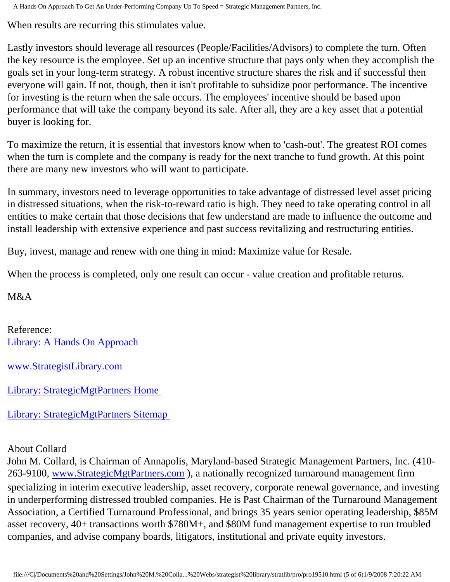A Hands On Approach To Get An Under-Performing Company Up To Speed = Strategic Management Partners, Inc.

When results are recurring this stimulates value.

Lastly investors should leverage all resources (People/Facilities/Advisors) to complete the turn. Often the key resource is the employee. Set up an incentive structure that pays only when they accomplish the goals set in your long-term strategy. A robust incentive structure shares the risk and if successful then everyone will gain. If not, though, then it isn't profitable to subsidize poor performance. The incentive for investing is the return when the sale occurs. The employees' incentive should be based upon performance that will take the company beyond its sale. After all, they are a key asset that a potential buyer is looking for.

To maximize the return, it is essential that investors know when to 'cash-out'. The greatest ROI comes when the turn is complete and the company is ready for the next tranche to fund growth. At this point there are many new investors who will want to participate.

In summary, investors need to leverage opportunities to take advantage of distressed level asset pricing in distressed situations, when the risk-to-reward ratio is high. They need to take operating control in all entities to make certain that those decisions that few understand are made to influence the outcome and install leadership with extensive experience and past success revitalizing and restructuring entities.

Buy, invest, manage and renew with one thing in mind: Maximize value for Resale.

When the process is completed, only one result can occur - value creation and profitable returns.

M&A

Reference: [Library: A Hands On Approach](http://members.aol.com/stratlib/ma-inv.html)

[www.StrategistLibrary.com](http://www.strategistlibrary.com/)

[Library: StrategicMgtPartners Home](http://members.aol.com/strategist/home.html)

[Library: StrategicMgtPartners Sitemap](http://members.aol.com/strategist/sitemap.html) 

#### About Collard

John M. Collard, is Chairman of Annapolis, Maryland-based Strategic Management Partners, Inc. (410 263-9100, [www.StrategicMgtPartners.com](http://www.strategicmgtpartners.com/) ), a nationally recognized turnaround management firm specializing in interim executive leadership, asset recovery, corporate renewal governance, and investing in underperforming distressed troubled companies. He is Past Chairman of the Turnaround Management Association, a Certified Turnaround Professional, and brings 35 years senior operating leadership, \$85M asset recovery, 40+ transactions worth \$780M+, and \$80M fund management expertise to run troubled companies, and advise company boards, litigators, institutional and private equity investors.